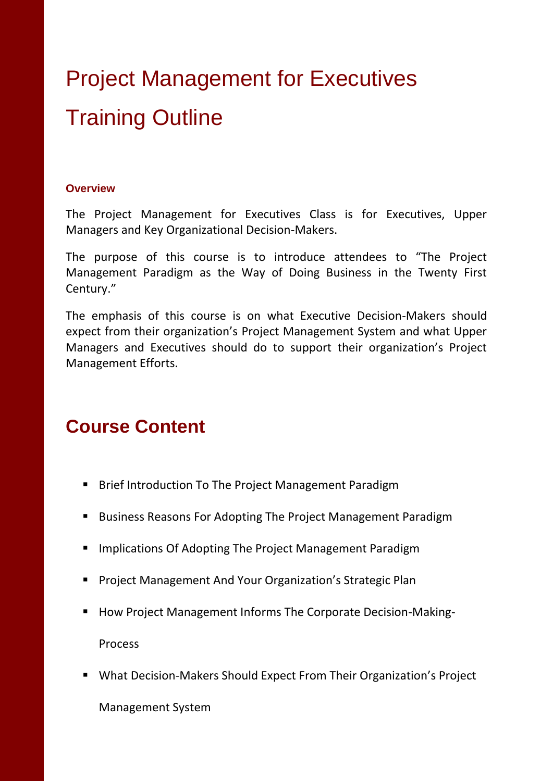## Project Management for Executives Training Outline

## **Overview**

The Project Management for Executives Class is for Executives, Upper Managers and Key Organizational Decision-Makers.

The purpose of this course is to introduce attendees to "The Project Management Paradigm as the Way of Doing Business in the Twenty First Century."

The emphasis of this course is on what Executive Decision-Makers should expect from their organization's Project Management System and what Upper Managers and Executives should do to support their organization's Project Management Efforts.

## **Course Content**

- **Brief Introduction To The Project Management Paradigm**
- Business Reasons For Adopting The Project Management Paradigm
- **Implications Of Adopting The Project Management Paradigm**
- **Project Management And Your Organization's Strategic Plan**
- How Project Management Informs The Corporate Decision-Making-Process
- What Decision-Makers Should Expect From Their Organization's Project

Management System